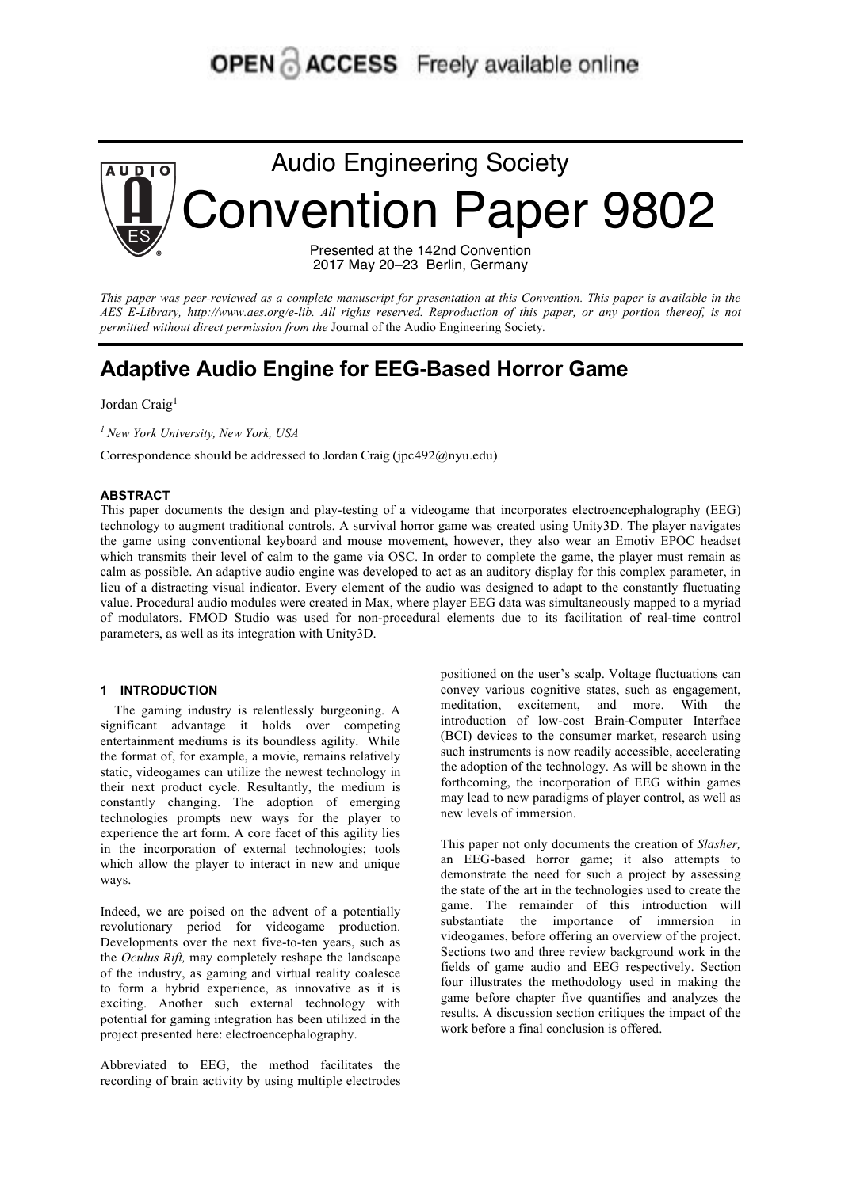# **OPEN & ACCESS** Freely available online



2017 May 20–23 Berlin, Germany

*This paper was peer-reviewed as a complete manuscript for presentation at this Convention. This paper is available in the*  AES E-Library, http://www.aes.org/e-lib. All rights reserved. Reproduction of this paper, or any portion thereof, is not *permitted without direct permission from the* Journal of the Audio Engineering Society*.* 

## **Adaptive Audio Engine for EEG-Based Horror Game**

Jordan Craig<sup>1</sup>

*<sup>1</sup> New York University, New York, USA*

Correspondence should be addressed to Jordan Craig (jpc492@nyu.edu)

#### **ABSTRACT**

This paper documents the design and play-testing of a videogame that incorporates electroencephalography (EEG) technology to augment traditional controls. A survival horror game was created using Unity3D. The player navigates the game using conventional keyboard and mouse movement, however, they also wear an Emotiv EPOC headset which transmits their level of calm to the game via OSC. In order to complete the game, the player must remain as calm as possible. An adaptive audio engine was developed to act as an auditory display for this complex parameter, in lieu of a distracting visual indicator. Every element of the audio was designed to adapt to the constantly fluctuating value. Procedural audio modules were created in Max, where player EEG data was simultaneously mapped to a myriad of modulators. FMOD Studio was used for non-procedural elements due to its facilitation of real-time control parameters, as well as its integration with Unity3D.

#### **1 INTRODUCTION**

The gaming industry is relentlessly burgeoning. A significant advantage it holds over competing entertainment mediums is its boundless agility. While the format of, for example, a movie, remains relatively static, videogames can utilize the newest technology in their next product cycle. Resultantly, the medium is constantly changing. The adoption of emerging technologies prompts new ways for the player to experience the art form. A core facet of this agility lies in the incorporation of external technologies; tools which allow the player to interact in new and unique ways.

Indeed, we are poised on the advent of a potentially revolutionary period for videogame production. Developments over the next five-to-ten years, such as the *Oculus Rift,* may completely reshape the landscape of the industry, as gaming and virtual reality coalesce to form a hybrid experience, as innovative as it is exciting. Another such external technology with potential for gaming integration has been utilized in the project presented here: electroencephalography.

Abbreviated to EEG, the method facilitates the recording of brain activity by using multiple electrodes positioned on the user's scalp. Voltage fluctuations can convey various cognitive states, such as engagement, meditation, excitement, and more. With the introduction of low-cost Brain-Computer Interface (BCI) devices to the consumer market, research using such instruments is now readily accessible, accelerating the adoption of the technology. As will be shown in the forthcoming, the incorporation of EEG within games may lead to new paradigms of player control, as well as new levels of immersion.

This paper not only documents the creation of *Slasher,*  an EEG-based horror game; it also attempts to demonstrate the need for such a project by assessing the state of the art in the technologies used to create the game. The remainder of this introduction will substantiate the importance of immersion in videogames, before offering an overview of the project. Sections two and three review background work in the fields of game audio and EEG respectively. Section four illustrates the methodology used in making the game before chapter five quantifies and analyzes the results. A discussion section critiques the impact of the work before a final conclusion is offered.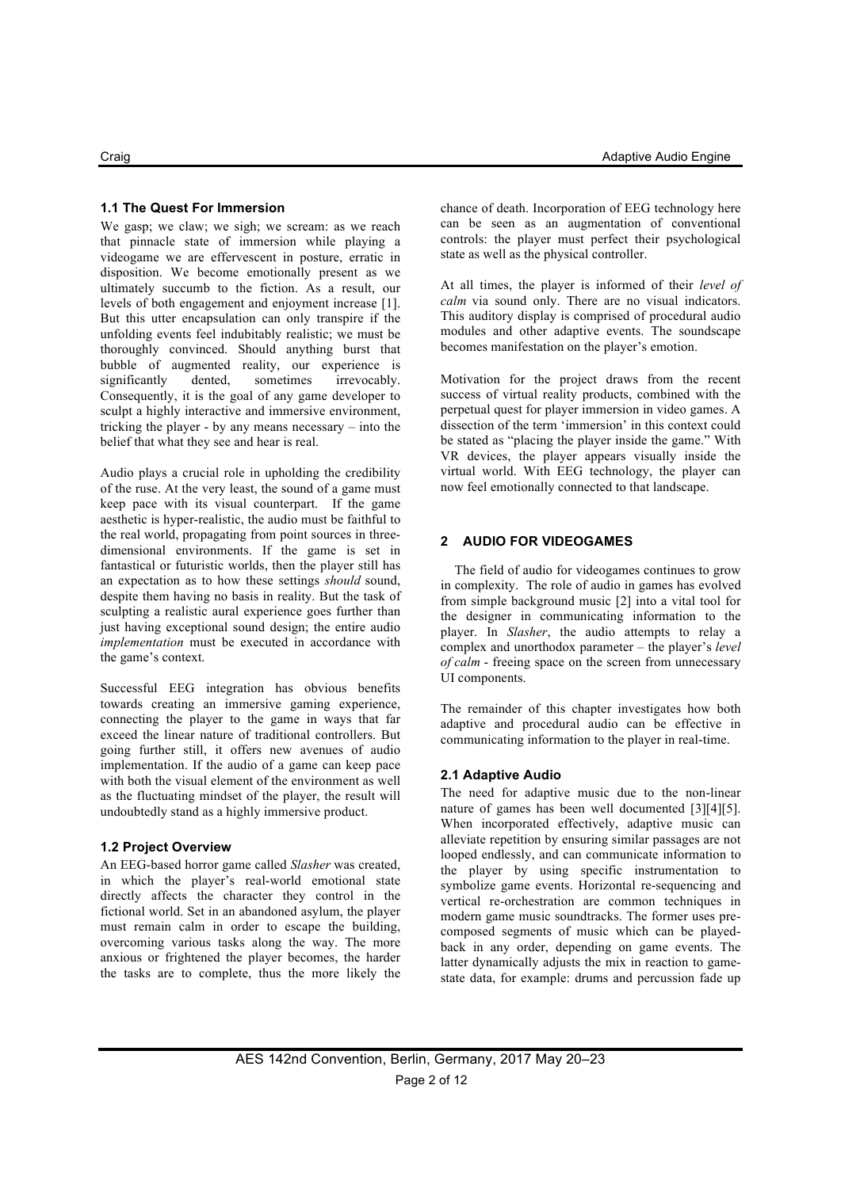#### **1.1 The Quest For Immersion**

We gasp; we claw; we sigh; we scream; as we reach that pinnacle state of immersion while playing a videogame we are effervescent in posture, erratic in disposition. We become emotionally present as we ultimately succumb to the fiction. As a result, our levels of both engagement and enjoyment increase [1]. But this utter encapsulation can only transpire if the unfolding events feel indubitably realistic; we must be thoroughly convinced. Should anything burst that bubble of augmented reality, our experience is significantly dented, sometimes irrevocably. Consequently, it is the goal of any game developer to sculpt a highly interactive and immersive environment, tricking the player - by any means necessary – into the belief that what they see and hear is real.

Audio plays a crucial role in upholding the credibility of the ruse. At the very least, the sound of a game must keep pace with its visual counterpart. If the game aesthetic is hyper-realistic, the audio must be faithful to the real world, propagating from point sources in threedimensional environments. If the game is set in fantastical or futuristic worlds, then the player still has an expectation as to how these settings *should* sound, despite them having no basis in reality. But the task of sculpting a realistic aural experience goes further than just having exceptional sound design; the entire audio *implementation* must be executed in accordance with the game's context.

Successful EEG integration has obvious benefits towards creating an immersive gaming experience, connecting the player to the game in ways that far exceed the linear nature of traditional controllers. But going further still, it offers new avenues of audio implementation. If the audio of a game can keep pace with both the visual element of the environment as well as the fluctuating mindset of the player, the result will undoubtedly stand as a highly immersive product.

#### **1.2 Project Overview**

An EEG-based horror game called *Slasher* was created, in which the player's real-world emotional state directly affects the character they control in the fictional world. Set in an abandoned asylum, the player must remain calm in order to escape the building, overcoming various tasks along the way. The more anxious or frightened the player becomes, the harder the tasks are to complete, thus the more likely the chance of death. Incorporation of EEG technology here can be seen as an augmentation of conventional controls: the player must perfect their psychological state as well as the physical controller.

At all times, the player is informed of their *level of calm* via sound only. There are no visual indicators. This auditory display is comprised of procedural audio modules and other adaptive events. The soundscape becomes manifestation on the player's emotion.

Motivation for the project draws from the recent success of virtual reality products, combined with the perpetual quest for player immersion in video games. A dissection of the term 'immersion' in this context could be stated as "placing the player inside the game." With VR devices, the player appears visually inside the virtual world. With EEG technology, the player can now feel emotionally connected to that landscape.

#### **2 AUDIO FOR VIDEOGAMES**

The field of audio for videogames continues to grow in complexity. The role of audio in games has evolved from simple background music [2] into a vital tool for the designer in communicating information to the player. In *Slasher*, the audio attempts to relay a complex and unorthodox parameter – the player's *level of calm* - freeing space on the screen from unnecessary UI components.

The remainder of this chapter investigates how both adaptive and procedural audio can be effective in communicating information to the player in real-time.

#### **2.1 Adaptive Audio**

The need for adaptive music due to the non-linear nature of games has been well documented [3][4][5]. When incorporated effectively, adaptive music can alleviate repetition by ensuring similar passages are not looped endlessly, and can communicate information to the player by using specific instrumentation to symbolize game events. Horizontal re-sequencing and vertical re-orchestration are common techniques in modern game music soundtracks. The former uses precomposed segments of music which can be playedback in any order, depending on game events. The latter dynamically adjusts the mix in reaction to gamestate data, for example: drums and percussion fade up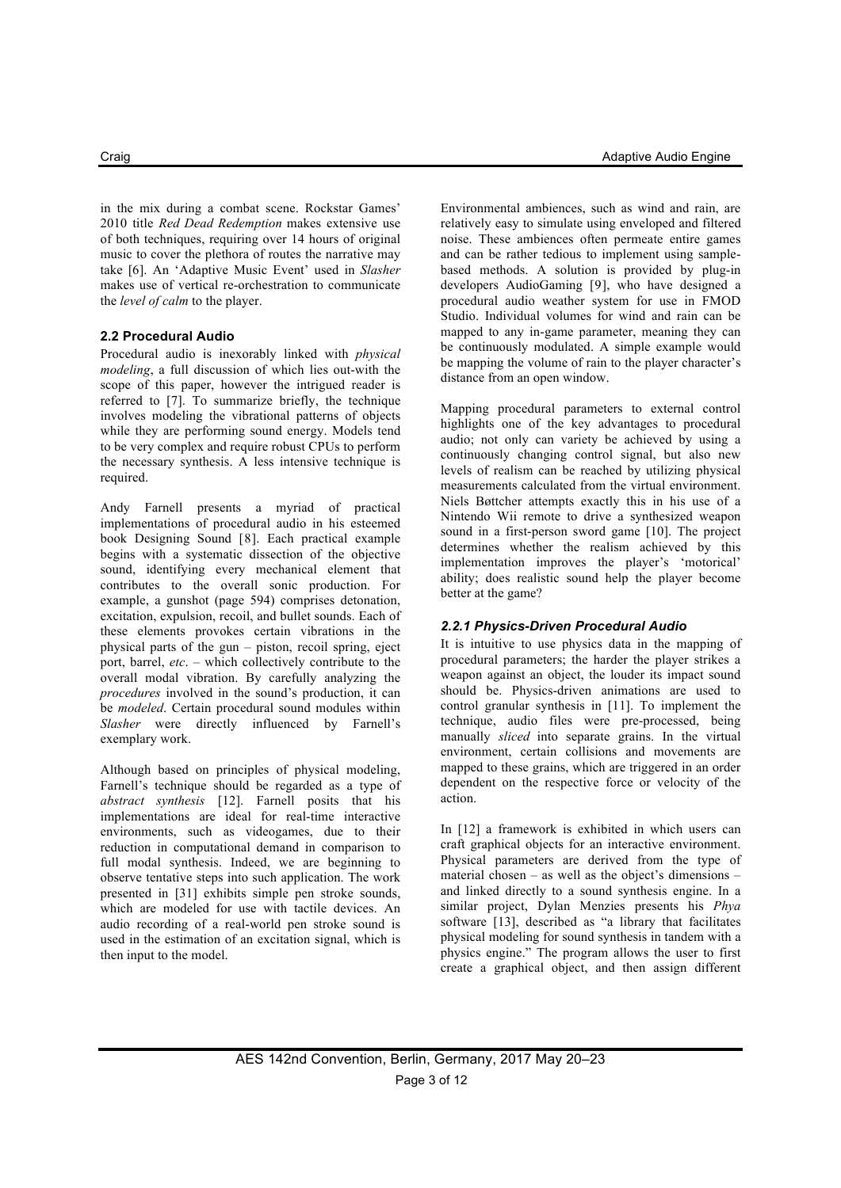in the mix during a combat scene. Rockstar Games' 2010 title *Red Dead Redemption* makes extensive use of both techniques, requiring over 14 hours of original music to cover the plethora of routes the narrative may take [6]. An 'Adaptive Music Event' used in *Slasher* makes use of vertical re-orchestration to communicate the *level of calm* to the player.

#### **2.2 Procedural Audio**

Procedural audio is inexorably linked with *physical modeling*, a full discussion of which lies out-with the scope of this paper, however the intrigued reader is referred to [7]. To summarize briefly, the technique involves modeling the vibrational patterns of objects while they are performing sound energy. Models tend to be very complex and require robust CPUs to perform the necessary synthesis. A less intensive technique is required.

Andy Farnell presents a myriad of practical implementations of procedural audio in his esteemed book Designing Sound [8]. Each practical example begins with a systematic dissection of the objective sound, identifying every mechanical element that contributes to the overall sonic production. For example, a gunshot (page 594) comprises detonation, excitation, expulsion, recoil, and bullet sounds. Each of these elements provokes certain vibrations in the physical parts of the gun – piston, recoil spring, eject port, barrel, *etc*. – which collectively contribute to the overall modal vibration. By carefully analyzing the *procedures* involved in the sound's production, it can be *modeled*. Certain procedural sound modules within *Slasher* were directly influenced by Farnell's exemplary work.

Although based on principles of physical modeling, Farnell's technique should be regarded as a type of *abstract synthesis* [12]. Farnell posits that his implementations are ideal for real-time interactive environments, such as videogames, due to their reduction in computational demand in comparison to full modal synthesis. Indeed, we are beginning to observe tentative steps into such application. The work presented in [31] exhibits simple pen stroke sounds, which are modeled for use with tactile devices. An audio recording of a real-world pen stroke sound is used in the estimation of an excitation signal, which is then input to the model.

Environmental ambiences, such as wind and rain, are relatively easy to simulate using enveloped and filtered noise. These ambiences often permeate entire games and can be rather tedious to implement using samplebased methods. A solution is provided by plug-in developers AudioGaming [9], who have designed a procedural audio weather system for use in FMOD Studio. Individual volumes for wind and rain can be mapped to any in-game parameter, meaning they can be continuously modulated. A simple example would be mapping the volume of rain to the player character's distance from an open window.

Mapping procedural parameters to external control highlights one of the key advantages to procedural audio; not only can variety be achieved by using a continuously changing control signal, but also new levels of realism can be reached by utilizing physical measurements calculated from the virtual environment. Niels Bøttcher attempts exactly this in his use of a Nintendo Wii remote to drive a synthesized weapon sound in a first-person sword game [10]. The project determines whether the realism achieved by this implementation improves the player's 'motorical' ability; does realistic sound help the player become better at the game?

### *2.2.1 Physics-Driven Procedural Audio*

It is intuitive to use physics data in the mapping of procedural parameters; the harder the player strikes a weapon against an object, the louder its impact sound should be. Physics-driven animations are used to control granular synthesis in [11]. To implement the technique, audio files were pre-processed, being manually *sliced* into separate grains. In the virtual environment, certain collisions and movements are mapped to these grains, which are triggered in an order dependent on the respective force or velocity of the action.

In [12] a framework is exhibited in which users can craft graphical objects for an interactive environment. Physical parameters are derived from the type of material chosen – as well as the object's dimensions – and linked directly to a sound synthesis engine. In a similar project, Dylan Menzies presents his *Phya* software [13], described as "a library that facilitates physical modeling for sound synthesis in tandem with a physics engine." The program allows the user to first create a graphical object, and then assign different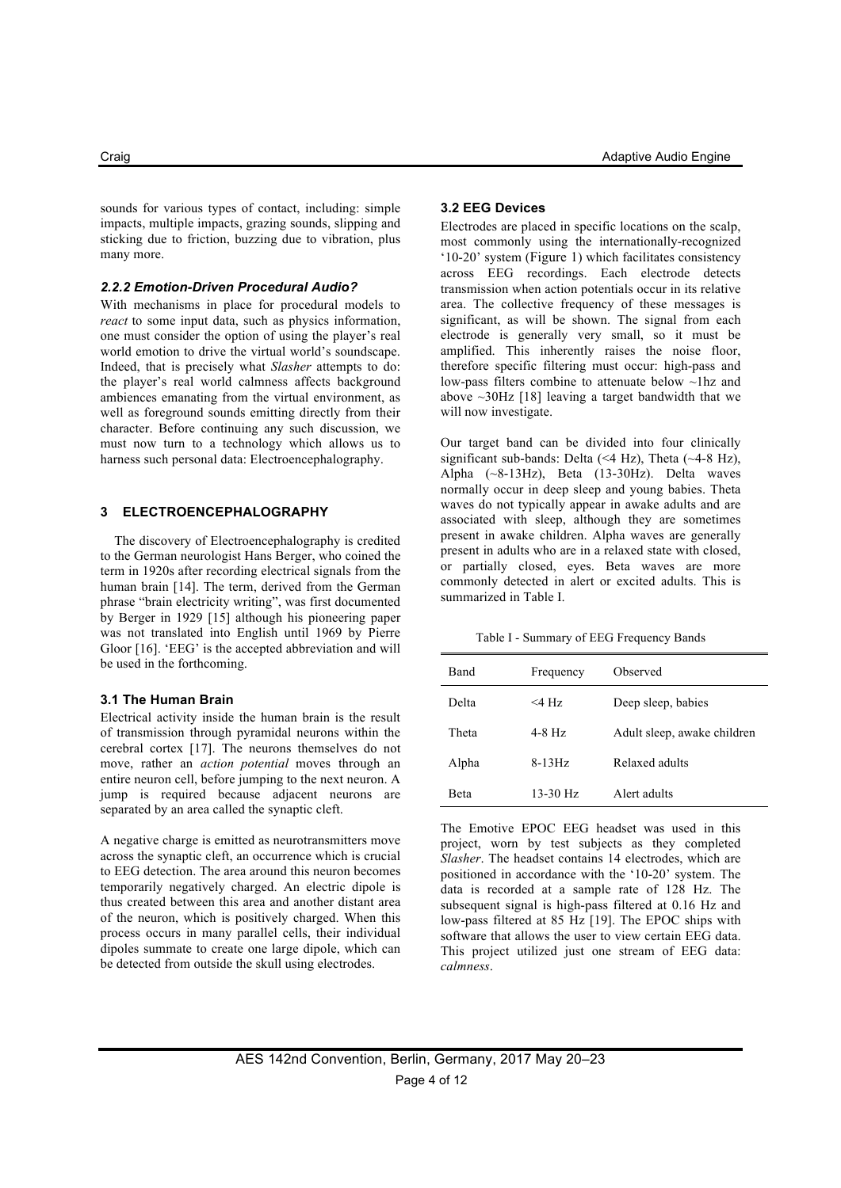sounds for various types of contact, including: simple impacts, multiple impacts, grazing sounds, slipping and sticking due to friction, buzzing due to vibration, plus many more.

#### *2.2.2 Emotion-Driven Procedural Audio?*

With mechanisms in place for procedural models to *react* to some input data, such as physics information, one must consider the option of using the player's real world emotion to drive the virtual world's soundscape. Indeed, that is precisely what *Slasher* attempts to do: the player's real world calmness affects background ambiences emanating from the virtual environment, as well as foreground sounds emitting directly from their character. Before continuing any such discussion, we must now turn to a technology which allows us to harness such personal data: Electroencephalography.

#### **3 ELECTROENCEPHALOGRAPHY**

The discovery of Electroencephalography is credited to the German neurologist Hans Berger, who coined the term in 1920s after recording electrical signals from the human brain [14]. The term, derived from the German phrase "brain electricity writing", was first documented by Berger in 1929 [15] although his pioneering paper was not translated into English until 1969 by Pierre Gloor [16]. 'EEG' is the accepted abbreviation and will be used in the forthcoming.

#### **3.1 The Human Brain**

Electrical activity inside the human brain is the result of transmission through pyramidal neurons within the cerebral cortex [17]. The neurons themselves do not move, rather an *action potential* moves through an entire neuron cell, before jumping to the next neuron. A jump is required because adjacent neurons are separated by an area called the synaptic cleft.

A negative charge is emitted as neurotransmitters move across the synaptic cleft, an occurrence which is crucial to EEG detection. The area around this neuron becomes temporarily negatively charged. An electric dipole is thus created between this area and another distant area of the neuron, which is positively charged. When this process occurs in many parallel cells, their individual dipoles summate to create one large dipole, which can be detected from outside the skull using electrodes.

#### **3.2 EEG Devices**

Electrodes are placed in specific locations on the scalp, most commonly using the internationally-recognized '10-20' system (Figure 1) which facilitates consistency across EEG recordings. Each electrode detects transmission when action potentials occur in its relative area. The collective frequency of these messages is significant, as will be shown. The signal from each electrode is generally very small, so it must be amplified. This inherently raises the noise floor, therefore specific filtering must occur: high-pass and low-pass filters combine to attenuate below ~1hz and above  $\sim$ 30Hz [18] leaving a target bandwidth that we will now investigate.

Our target band can be divided into four clinically significant sub-bands: Delta  $(\leq 4$  Hz), Theta  $(\sim 4-8$  Hz), Alpha (~8-13Hz), Beta (13-30Hz). Delta waves normally occur in deep sleep and young babies. Theta waves do not typically appear in awake adults and are associated with sleep, although they are sometimes present in awake children. Alpha waves are generally present in adults who are in a relaxed state with closed, or partially closed, eyes. Beta waves are more commonly detected in alert or excited adults. This is summarized in Table I.

Table I - Summary of EEG Frequency Bands

| Band  | Frequency | Observed                    |
|-------|-----------|-----------------------------|
| Delta | $<$ 4 Hz  | Deep sleep, babies          |
| Theta | 4-8 Hz    | Adult sleep, awake children |
| Alpha | $8-13Hz$  | Relaxed adults              |
| Beta  | 13-30 Hz  | Alert adults                |

The Emotive EPOC EEG headset was used in this project, worn by test subjects as they completed *Slasher*. The headset contains 14 electrodes, which are positioned in accordance with the '10-20' system. The data is recorded at a sample rate of 128 Hz. The subsequent signal is high-pass filtered at 0.16 Hz and low-pass filtered at 85 Hz [19]. The EPOC ships with software that allows the user to view certain EEG data. This project utilized just one stream of EEG data: *calmness*.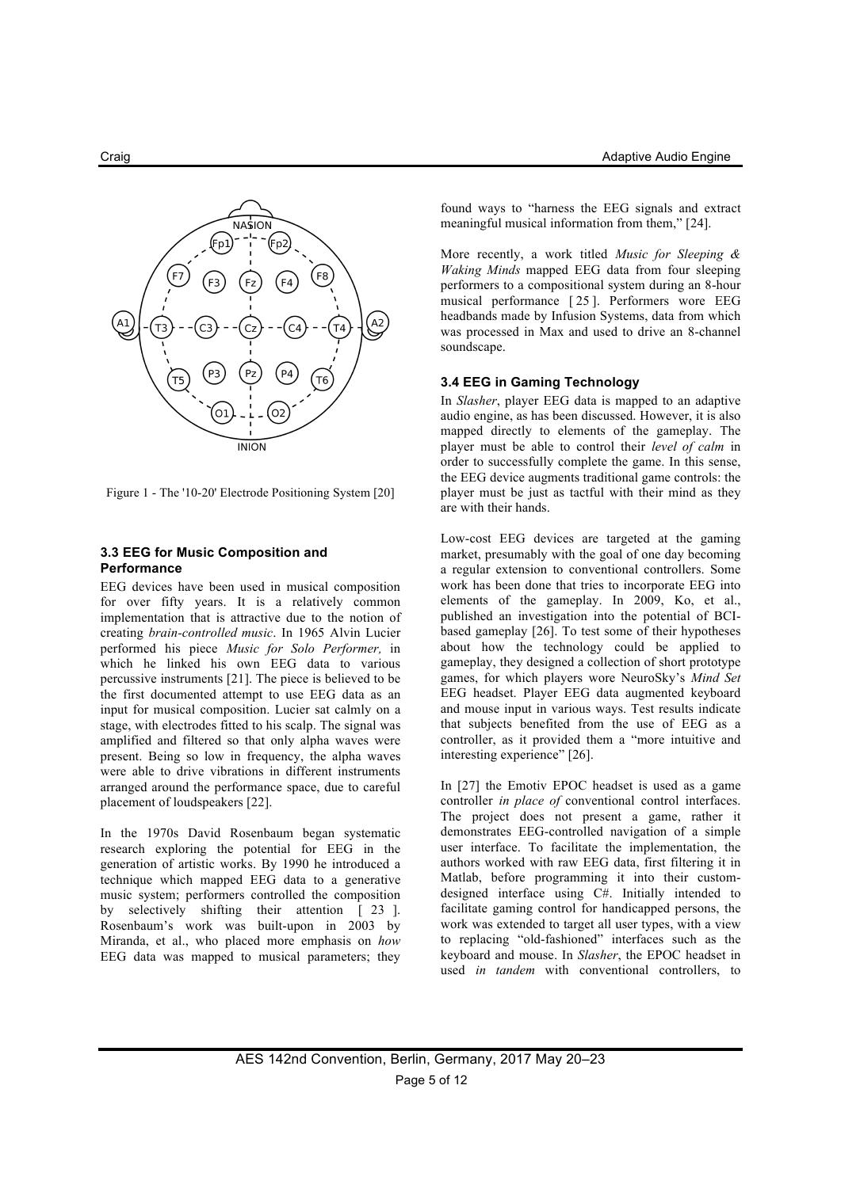

Figure 1 - The '10-20' Electrode Positioning System [20]

#### **3.3 EEG for Music Composition and Performance**

EEG devices have been used in musical composition for over fifty years. It is a relatively common implementation that is attractive due to the notion of creating *brain-controlled music*. In 1965 Alvin Lucier performed his piece *Music for Solo Performer,* in which he linked his own EEG data to various percussive instruments [21]. The piece is believed to be the first documented attempt to use EEG data as an input for musical composition. Lucier sat calmly on a stage, with electrodes fitted to his scalp. The signal was amplified and filtered so that only alpha waves were present. Being so low in frequency, the alpha waves were able to drive vibrations in different instruments arranged around the performance space, due to careful placement of loudspeakers [22].

In the 1970s David Rosenbaum began systematic research exploring the potential for EEG in the generation of artistic works. By 1990 he introduced a technique which mapped EEG data to a generative music system; performers controlled the composition by selectively shifting their attention [ 23 ]. Rosenbaum's work was built-upon in 2003 by Miranda, et al., who placed more emphasis on *how*  EEG data was mapped to musical parameters; they found ways to "harness the EEG signals and extract meaningful musical information from them," [24].

More recently, a work titled *Music for Sleeping & Waking Minds* mapped EEG data from four sleeping performers to a compositional system during an 8-hour musical performance [ 25 ]. Performers wore EEG headbands made by Infusion Systems, data from which was processed in Max and used to drive an 8-channel soundscape.

#### **3.4 EEG in Gaming Technology**

In *Slasher*, player EEG data is mapped to an adaptive audio engine, as has been discussed. However, it is also mapped directly to elements of the gameplay. The player must be able to control their *level of calm* in order to successfully complete the game. In this sense, the EEG device augments traditional game controls: the player must be just as tactful with their mind as they are with their hands.

Low-cost EEG devices are targeted at the gaming market, presumably with the goal of one day becoming a regular extension to conventional controllers. Some work has been done that tries to incorporate EEG into elements of the gameplay. In 2009, Ko, et al., published an investigation into the potential of BCIbased gameplay [26]. To test some of their hypotheses about how the technology could be applied to gameplay, they designed a collection of short prototype games, for which players wore NeuroSky's *Mind Set*  EEG headset. Player EEG data augmented keyboard and mouse input in various ways. Test results indicate that subjects benefited from the use of EEG as a controller, as it provided them a "more intuitive and interesting experience" [26].

In [27] the Emotiv EPOC headset is used as a game controller *in place of* conventional control interfaces. The project does not present a game, rather it demonstrates EEG-controlled navigation of a simple user interface. To facilitate the implementation, the authors worked with raw EEG data, first filtering it in Matlab, before programming it into their customdesigned interface using C#. Initially intended to facilitate gaming control for handicapped persons, the work was extended to target all user types, with a view to replacing "old-fashioned" interfaces such as the keyboard and mouse. In *Slasher*, the EPOC headset in used *in tandem* with conventional controllers, to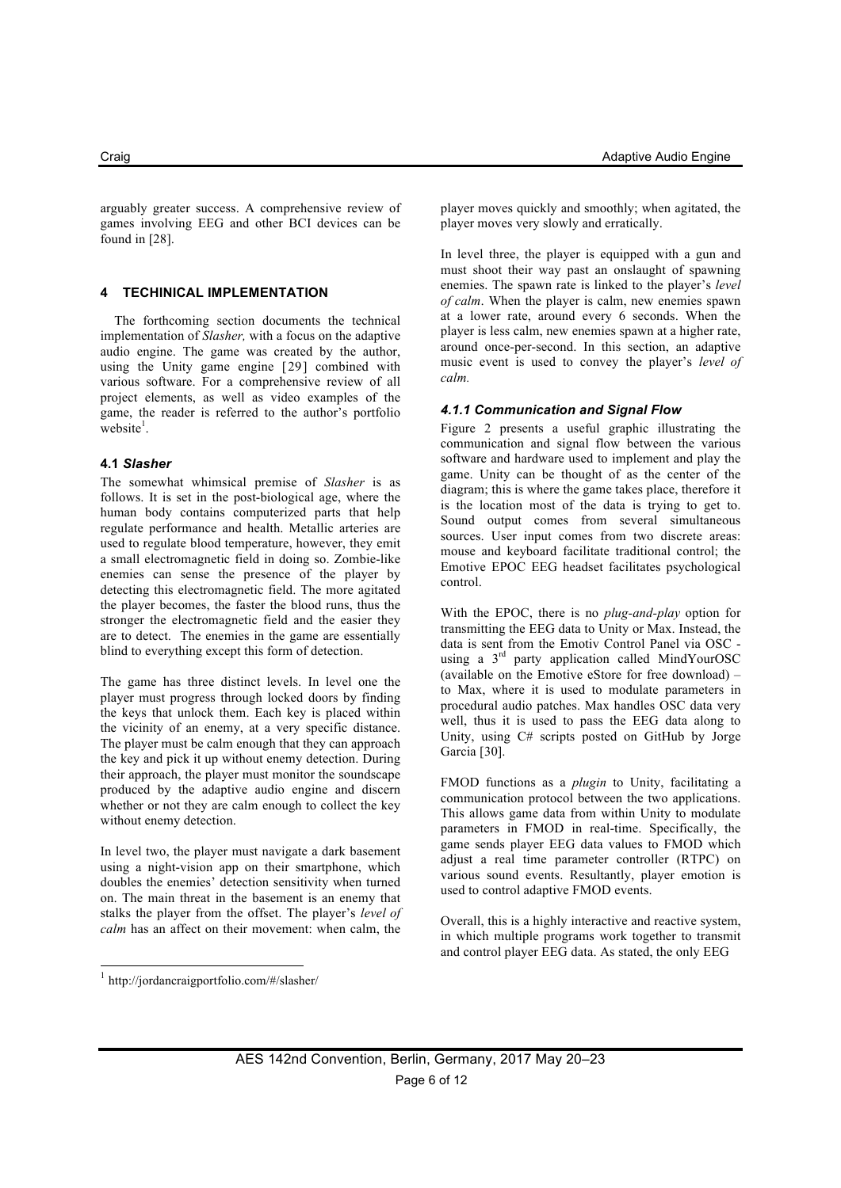arguably greater success. A comprehensive review of games involving EEG and other BCI devices can be found in [28].

#### **4 TECHINICAL IMPLEMENTATION**

The forthcoming section documents the technical implementation of *Slasher,* with a focus on the adaptive audio engine. The game was created by the author, using the Unity game engine [29] combined with various software. For a comprehensive review of all project elements, as well as video examples of the game, the reader is referred to the author's portfolio  $\text{website}^1$ .

#### **4.1** *Slasher*

The somewhat whimsical premise of *Slasher* is as follows. It is set in the post-biological age, where the human body contains computerized parts that help regulate performance and health. Metallic arteries are used to regulate blood temperature, however, they emit a small electromagnetic field in doing so. Zombie-like enemies can sense the presence of the player by detecting this electromagnetic field. The more agitated the player becomes, the faster the blood runs, thus the stronger the electromagnetic field and the easier they are to detect. The enemies in the game are essentially blind to everything except this form of detection.

The game has three distinct levels. In level one the player must progress through locked doors by finding the keys that unlock them. Each key is placed within the vicinity of an enemy, at a very specific distance. The player must be calm enough that they can approach the key and pick it up without enemy detection. During their approach, the player must monitor the soundscape produced by the adaptive audio engine and discern whether or not they are calm enough to collect the key without enemy detection.

In level two, the player must navigate a dark basement using a night-vision app on their smartphone, which doubles the enemies' detection sensitivity when turned on. The main threat in the basement is an enemy that stalks the player from the offset. The player's *level of calm* has an affect on their movement: when calm, the player moves quickly and smoothly; when agitated, the player moves very slowly and erratically.

In level three, the player is equipped with a gun and must shoot their way past an onslaught of spawning enemies. The spawn rate is linked to the player's *level of calm*. When the player is calm, new enemies spawn at a lower rate, around every 6 seconds. When the player is less calm, new enemies spawn at a higher rate, around once-per-second. In this section, an adaptive music event is used to convey the player's *level of calm.*

#### *4.1.1 Communication and Signal Flow*

Figure 2 presents a useful graphic illustrating the communication and signal flow between the various software and hardware used to implement and play the game. Unity can be thought of as the center of the diagram; this is where the game takes place, therefore it is the location most of the data is trying to get to. Sound output comes from several simultaneous sources. User input comes from two discrete areas: mouse and keyboard facilitate traditional control; the Emotive EPOC EEG headset facilitates psychological control.

With the EPOC, there is no *plug-and-play* option for transmitting the EEG data to Unity or Max. Instead, the data is sent from the Emotiv Control Panel via OSC using a 3<sup>rd</sup> party application called MindYourOSC (available on the Emotive eStore for free download) – to Max, where it is used to modulate parameters in procedural audio patches. Max handles OSC data very well, thus it is used to pass the EEG data along to Unity, using C# scripts posted on GitHub by Jorge Garcia [30].

FMOD functions as a *plugin* to Unity, facilitating a communication protocol between the two applications. This allows game data from within Unity to modulate parameters in FMOD in real-time. Specifically, the game sends player EEG data values to FMOD which adjust a real time parameter controller (RTPC) on various sound events. Resultantly, player emotion is used to control adaptive FMOD events.

Overall, this is a highly interactive and reactive system, in which multiple programs work together to transmit and control player EEG data. As stated, the only EEG

 <sup>1</sup> http://jordancraigportfolio.com/#/slasher/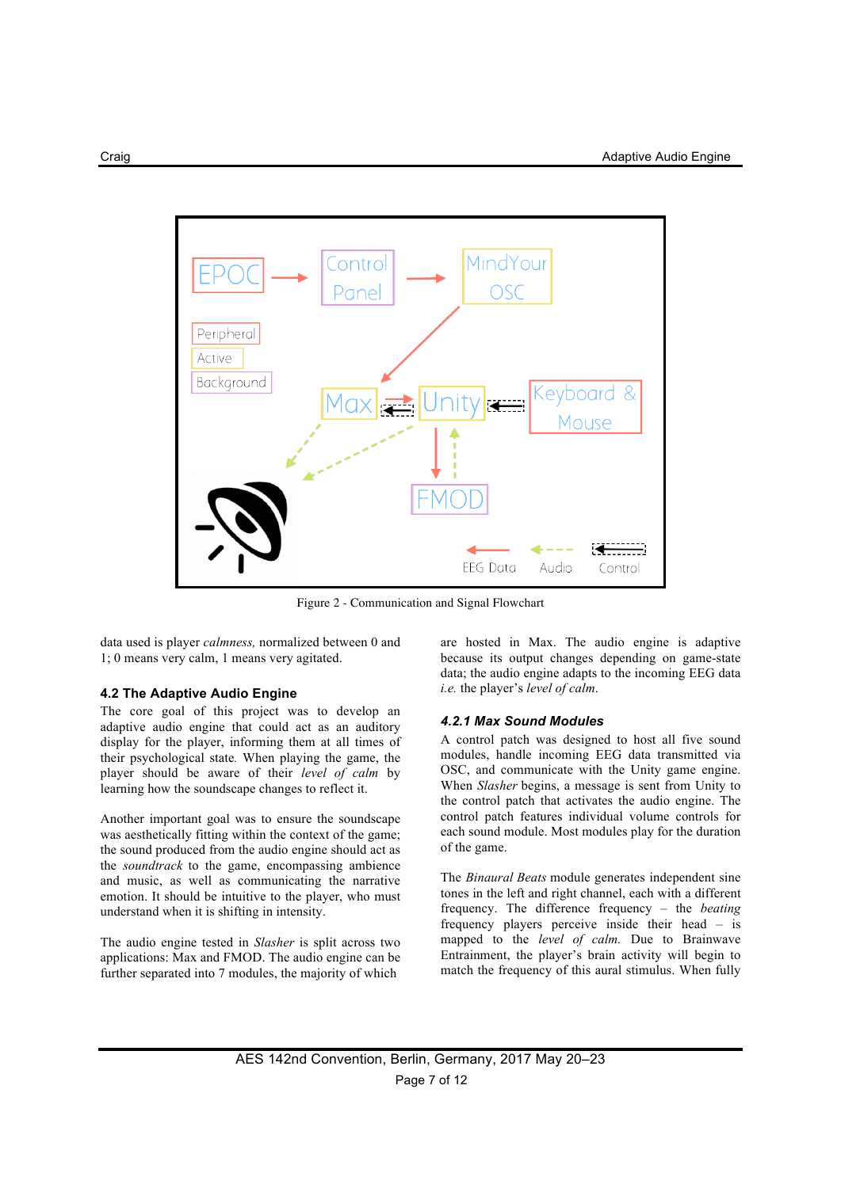

Figure 2 - Communication and Signal Flowchart

data used is player *calmness,* normalized between 0 and 1; 0 means very calm, 1 means very agitated.

#### **4.2 The Adaptive Audio Engine**

The core goal of this project was to develop an adaptive audio engine that could act as an auditory display for the player, informing them at all times of their psychological state*.* When playing the game, the player should be aware of their *level of calm* by learning how the soundscape changes to reflect it.

Another important goal was to ensure the soundscape was aesthetically fitting within the context of the game; the sound produced from the audio engine should act as the *soundtrack* to the game, encompassing ambience and music, as well as communicating the narrative emotion. It should be intuitive to the player, who must understand when it is shifting in intensity.

The audio engine tested in *Slasher* is split across two applications: Max and FMOD. The audio engine can be further separated into 7 modules, the majority of which

are hosted in Max. The audio engine is adaptive because its output changes depending on game-state data; the audio engine adapts to the incoming EEG data *i.e.* the player's *level of calm*.

#### *4.2.1 Max Sound Modules*

A control patch was designed to host all five sound modules, handle incoming EEG data transmitted via OSC, and communicate with the Unity game engine. When *Slasher* begins, a message is sent from Unity to the control patch that activates the audio engine. The control patch features individual volume controls for each sound module. Most modules play for the duration of the game.

The *Binaural Beats* module generates independent sine tones in the left and right channel, each with a different frequency. The difference frequency – the *beating*  frequency players perceive inside their head – is mapped to the *level of calm.* Due to Brainwave Entrainment, the player's brain activity will begin to match the frequency of this aural stimulus. When fully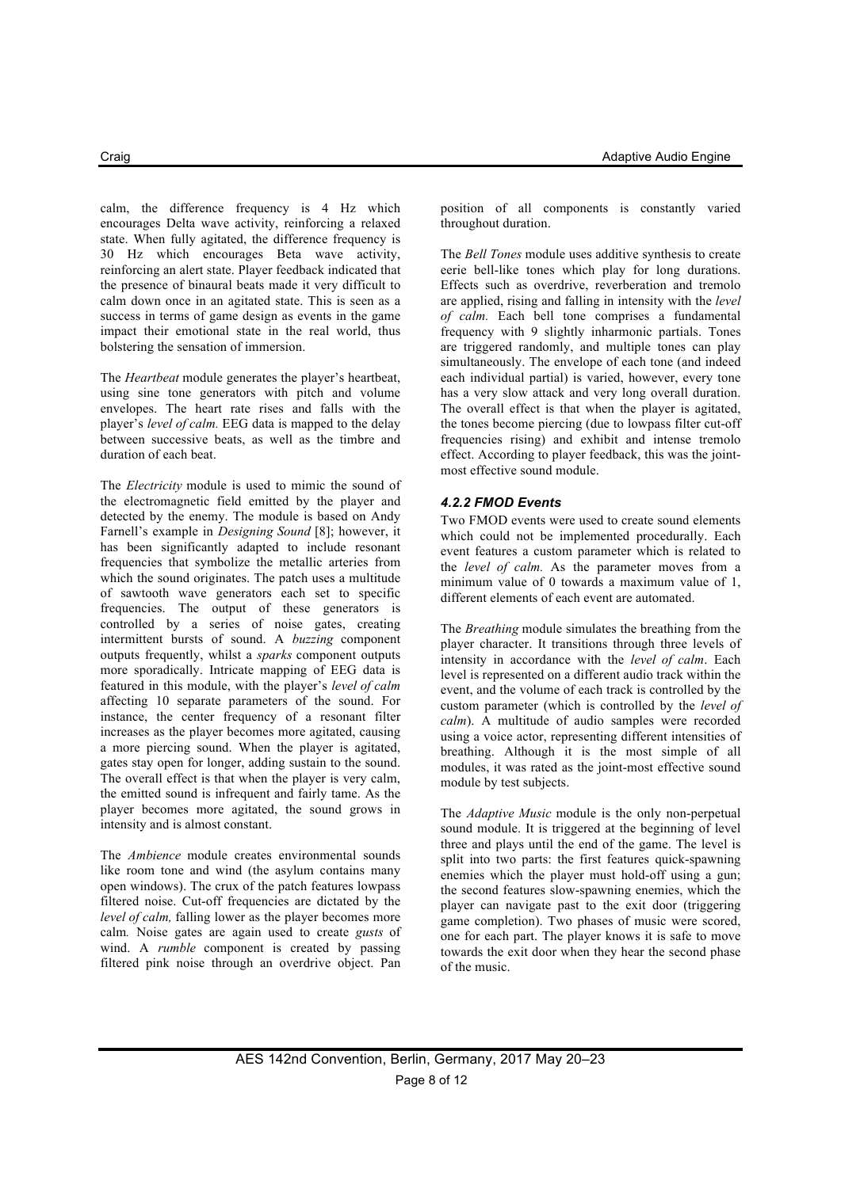calm, the difference frequency is 4 Hz which encourages Delta wave activity, reinforcing a relaxed state. When fully agitated, the difference frequency is 30 Hz which encourages Beta wave activity, reinforcing an alert state. Player feedback indicated that the presence of binaural beats made it very difficult to calm down once in an agitated state. This is seen as a success in terms of game design as events in the game impact their emotional state in the real world, thus bolstering the sensation of immersion.

The *Heartbeat* module generates the player's heartbeat, using sine tone generators with pitch and volume envelopes. The heart rate rises and falls with the player's *level of calm.* EEG data is mapped to the delay between successive beats, as well as the timbre and duration of each beat.

The *Electricity* module is used to mimic the sound of the electromagnetic field emitted by the player and detected by the enemy. The module is based on Andy Farnell's example in *Designing Sound* [8]; however, it has been significantly adapted to include resonant frequencies that symbolize the metallic arteries from which the sound originates. The patch uses a multitude of sawtooth wave generators each set to specific frequencies. The output of these generators is controlled by a series of noise gates, creating intermittent bursts of sound. A *buzzing* component outputs frequently, whilst a *sparks* component outputs more sporadically. Intricate mapping of EEG data is featured in this module, with the player's *level of calm*  affecting 10 separate parameters of the sound. For instance, the center frequency of a resonant filter increases as the player becomes more agitated, causing a more piercing sound. When the player is agitated, gates stay open for longer, adding sustain to the sound. The overall effect is that when the player is very calm, the emitted sound is infrequent and fairly tame. As the player becomes more agitated, the sound grows in intensity and is almost constant.

The *Ambience* module creates environmental sounds like room tone and wind (the asylum contains many open windows). The crux of the patch features lowpass filtered noise. Cut-off frequencies are dictated by the *level of calm,* falling lower as the player becomes more calm*.* Noise gates are again used to create *gusts* of wind. A *rumble* component is created by passing filtered pink noise through an overdrive object. Pan position of all components is constantly varied throughout duration.

The *Bell Tones* module uses additive synthesis to create eerie bell-like tones which play for long durations. Effects such as overdrive, reverberation and tremolo are applied, rising and falling in intensity with the *level of calm.* Each bell tone comprises a fundamental frequency with 9 slightly inharmonic partials. Tones are triggered randomly, and multiple tones can play simultaneously. The envelope of each tone (and indeed each individual partial) is varied, however, every tone has a very slow attack and very long overall duration. The overall effect is that when the player is agitated, the tones become piercing (due to lowpass filter cut-off frequencies rising) and exhibit and intense tremolo effect. According to player feedback, this was the jointmost effective sound module.

#### *4.2.2 FMOD Events*

Two FMOD events were used to create sound elements which could not be implemented procedurally. Each event features a custom parameter which is related to the *level of calm.* As the parameter moves from a minimum value of 0 towards a maximum value of 1, different elements of each event are automated.

The *Breathing* module simulates the breathing from the player character. It transitions through three levels of intensity in accordance with the *level of calm*. Each level is represented on a different audio track within the event, and the volume of each track is controlled by the custom parameter (which is controlled by the *level of calm*). A multitude of audio samples were recorded using a voice actor, representing different intensities of breathing. Although it is the most simple of all modules, it was rated as the joint-most effective sound module by test subjects.

The *Adaptive Music* module is the only non-perpetual sound module. It is triggered at the beginning of level three and plays until the end of the game. The level is split into two parts: the first features quick-spawning enemies which the player must hold-off using a gun; the second features slow-spawning enemies, which the player can navigate past to the exit door (triggering game completion). Two phases of music were scored, one for each part. The player knows it is safe to move towards the exit door when they hear the second phase of the music.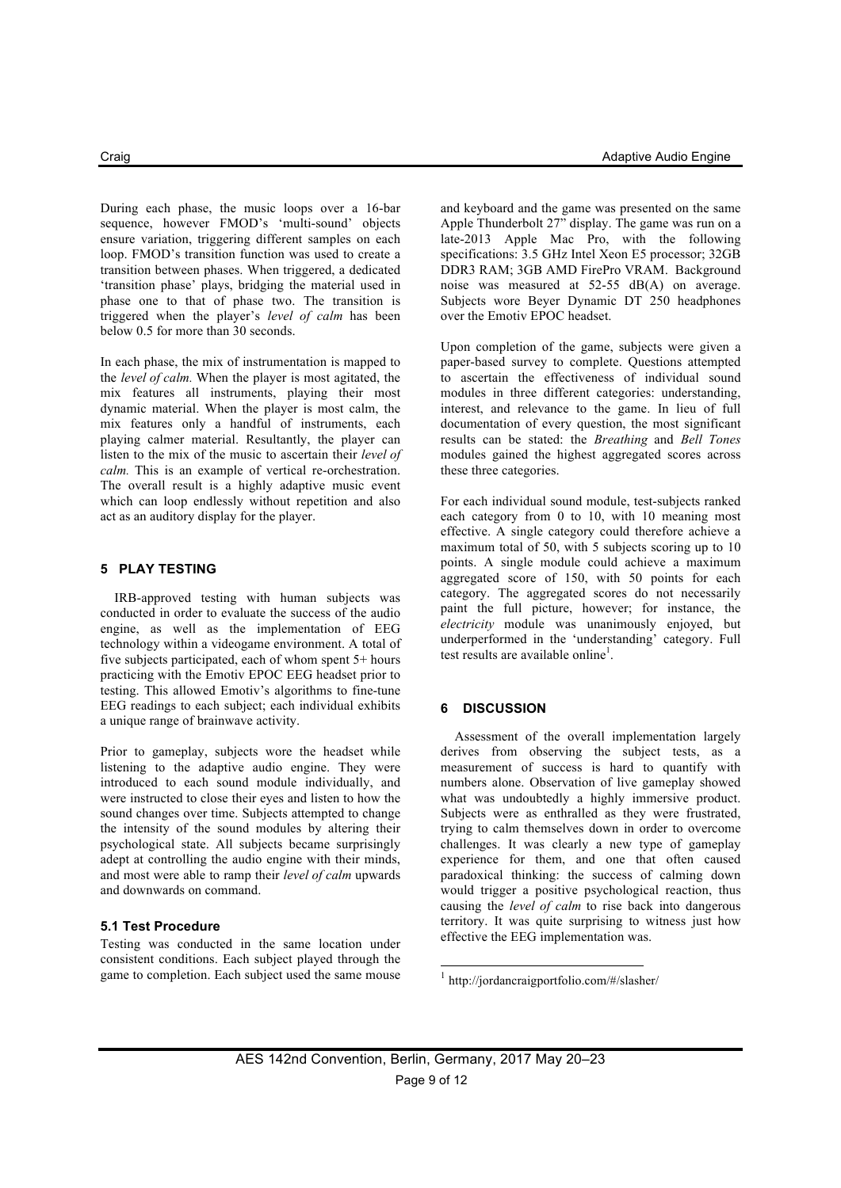During each phase, the music loops over a 16-bar sequence, however FMOD's 'multi-sound' objects ensure variation, triggering different samples on each loop. FMOD's transition function was used to create a transition between phases. When triggered, a dedicated 'transition phase' plays, bridging the material used in phase one to that of phase two. The transition is triggered when the player's *level of calm* has been below 0.5 for more than 30 seconds.

In each phase, the mix of instrumentation is mapped to the *level of calm.* When the player is most agitated, the mix features all instruments, playing their most dynamic material. When the player is most calm, the mix features only a handful of instruments, each playing calmer material. Resultantly, the player can listen to the mix of the music to ascertain their *level of calm.* This is an example of vertical re-orchestration. The overall result is a highly adaptive music event which can loop endlessly without repetition and also act as an auditory display for the player.

#### **5 PLAY TESTING**

IRB-approved testing with human subjects was conducted in order to evaluate the success of the audio engine, as well as the implementation of EEG technology within a videogame environment. A total of five subjects participated, each of whom spent 5+ hours practicing with the Emotiv EPOC EEG headset prior to testing. This allowed Emotiv's algorithms to fine-tune EEG readings to each subject; each individual exhibits a unique range of brainwave activity.

Prior to gameplay, subjects wore the headset while listening to the adaptive audio engine. They were introduced to each sound module individually, and were instructed to close their eyes and listen to how the sound changes over time. Subjects attempted to change the intensity of the sound modules by altering their psychological state. All subjects became surprisingly adept at controlling the audio engine with their minds, and most were able to ramp their *level of calm* upwards and downwards on command.

#### **5.1 Test Procedure**

Testing was conducted in the same location under consistent conditions. Each subject played through the game to completion. Each subject used the same mouse

and keyboard and the game was presented on the same Apple Thunderbolt 27" display. The game was run on a late-2013 Apple Mac Pro, with the following specifications: 3.5 GHz Intel Xeon E5 processor; 32GB DDR3 RAM; 3GB AMD FirePro VRAM. Background noise was measured at 52-55 dB(A) on average. Subjects wore Beyer Dynamic DT 250 headphones over the Emotiv EPOC headset.

Upon completion of the game, subjects were given a paper-based survey to complete. Questions attempted to ascertain the effectiveness of individual sound modules in three different categories: understanding, interest, and relevance to the game. In lieu of full documentation of every question, the most significant results can be stated: the *Breathing* and *Bell Tones*  modules gained the highest aggregated scores across these three categories.

For each individual sound module, test-subjects ranked each category from 0 to 10, with 10 meaning most effective. A single category could therefore achieve a maximum total of 50, with 5 subjects scoring up to 10 points. A single module could achieve a maximum aggregated score of 150, with 50 points for each category. The aggregated scores do not necessarily paint the full picture, however; for instance, the *electricity* module was unanimously enjoyed, but underperformed in the 'understanding' category. Full test results are available online<sup>1</sup>.

#### **6 DISCUSSION**

Assessment of the overall implementation largely derives from observing the subject tests, as a measurement of success is hard to quantify with numbers alone. Observation of live gameplay showed what was undoubtedly a highly immersive product. Subjects were as enthralled as they were frustrated, trying to calm themselves down in order to overcome challenges. It was clearly a new type of gameplay experience for them, and one that often caused paradoxical thinking: the success of calming down would trigger a positive psychological reaction, thus causing the *level of calm* to rise back into dangerous territory. It was quite surprising to witness just how effective the EEG implementation was.

 <sup>1</sup> http://jordancraigportfolio.com/#/slasher/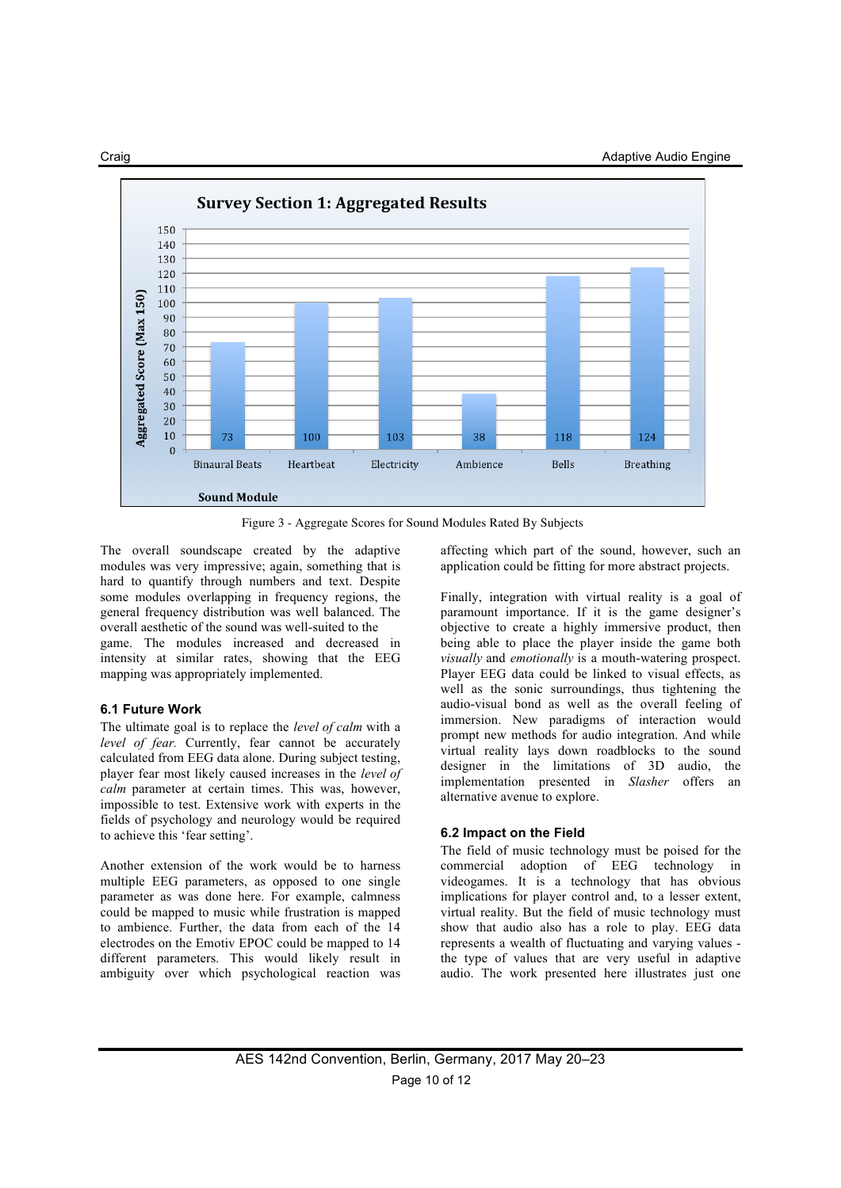

Figure 3 - Aggregate Scores for Sound Modules Rated By Subjects

The overall soundscape created by the adaptive modules was very impressive; again, something that is hard to quantify through numbers and text. Despite some modules overlapping in frequency regions, the general frequency distribution was well balanced. The overall aesthetic of the sound was well-suited to the game. The modules increased and decreased in

intensity at similar rates, showing that the EEG mapping was appropriately implemented.

#### **6.1 Future Work**

The ultimate goal is to replace the *level of calm* with a *level of fear.* Currently, fear cannot be accurately calculated from EEG data alone. During subject testing, player fear most likely caused increases in the *level of calm* parameter at certain times. This was, however, impossible to test. Extensive work with experts in the fields of psychology and neurology would be required to achieve this 'fear setting'.

Another extension of the work would be to harness multiple EEG parameters, as opposed to one single parameter as was done here. For example, calmness could be mapped to music while frustration is mapped to ambience. Further, the data from each of the 14 electrodes on the Emotiv EPOC could be mapped to 14 different parameters. This would likely result in ambiguity over which psychological reaction was affecting which part of the sound, however, such an application could be fitting for more abstract projects.

Finally, integration with virtual reality is a goal of paramount importance. If it is the game designer's objective to create a highly immersive product, then being able to place the player inside the game both *visually* and *emotionally* is a mouth-watering prospect. Player EEG data could be linked to visual effects, as well as the sonic surroundings, thus tightening the audio-visual bond as well as the overall feeling of immersion. New paradigms of interaction would prompt new methods for audio integration. And while virtual reality lays down roadblocks to the sound designer in the limitations of 3D audio, the implementation presented in *Slasher* offers an alternative avenue to explore.

#### **6.2 Impact on the Field**

The field of music technology must be poised for the commercial adoption of EEG technology in videogames. It is a technology that has obvious implications for player control and, to a lesser extent, virtual reality. But the field of music technology must show that audio also has a role to play. EEG data represents a wealth of fluctuating and varying values the type of values that are very useful in adaptive audio. The work presented here illustrates just one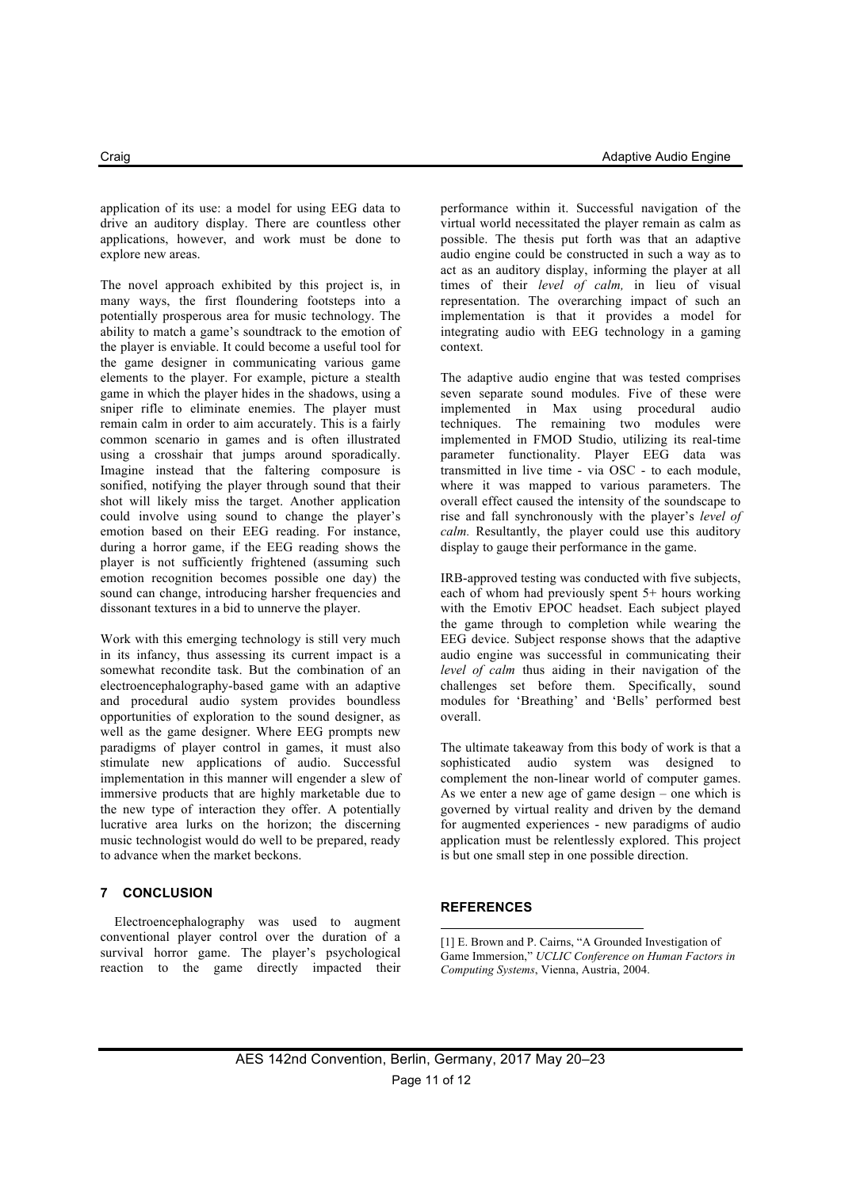application of its use: a model for using EEG data to drive an auditory display. There are countless other applications, however, and work must be done to explore new areas.

The novel approach exhibited by this project is, in many ways, the first floundering footsteps into a potentially prosperous area for music technology. The ability to match a game's soundtrack to the emotion of the player is enviable. It could become a useful tool for the game designer in communicating various game elements to the player. For example, picture a stealth game in which the player hides in the shadows, using a sniper rifle to eliminate enemies. The player must remain calm in order to aim accurately. This is a fairly common scenario in games and is often illustrated using a crosshair that jumps around sporadically. Imagine instead that the faltering composure is sonified, notifying the player through sound that their shot will likely miss the target. Another application could involve using sound to change the player's emotion based on their EEG reading. For instance, during a horror game, if the EEG reading shows the player is not sufficiently frightened (assuming such emotion recognition becomes possible one day) the sound can change, introducing harsher frequencies and dissonant textures in a bid to unnerve the player.

Work with this emerging technology is still very much in its infancy, thus assessing its current impact is a somewhat recondite task. But the combination of an electroencephalography-based game with an adaptive and procedural audio system provides boundless opportunities of exploration to the sound designer, as well as the game designer. Where EEG prompts new paradigms of player control in games, it must also stimulate new applications of audio. Successful implementation in this manner will engender a slew of immersive products that are highly marketable due to the new type of interaction they offer. A potentially lucrative area lurks on the horizon; the discerning music technologist would do well to be prepared, ready to advance when the market beckons.

#### **7 CONCLUSION**

Electroencephalography was used to augment conventional player control over the duration of a survival horror game. The player's psychological reaction to the game directly impacted their performance within it. Successful navigation of the virtual world necessitated the player remain as calm as possible. The thesis put forth was that an adaptive audio engine could be constructed in such a way as to act as an auditory display, informing the player at all times of their *level of calm,* in lieu of visual representation. The overarching impact of such an implementation is that it provides a model for integrating audio with EEG technology in a gaming context.

The adaptive audio engine that was tested comprises seven separate sound modules. Five of these were implemented in Max using procedural audio techniques. The remaining two modules were implemented in FMOD Studio, utilizing its real-time parameter functionality. Player EEG data was transmitted in live time - via OSC - to each module, where it was mapped to various parameters. The overall effect caused the intensity of the soundscape to rise and fall synchronously with the player's *level of calm.* Resultantly, the player could use this auditory display to gauge their performance in the game.

IRB-approved testing was conducted with five subjects, each of whom had previously spent 5+ hours working with the Emotiv EPOC headset. Each subject played the game through to completion while wearing the EEG device. Subject response shows that the adaptive audio engine was successful in communicating their *level of calm* thus aiding in their navigation of the challenges set before them. Specifically, sound modules for 'Breathing' and 'Bells' performed best overall.

The ultimate takeaway from this body of work is that a sophisticated audio system was designed to complement the non-linear world of computer games. As we enter a new age of game design – one which is governed by virtual reality and driven by the demand for augmented experiences - new paradigms of audio application must be relentlessly explored. This project is but one small step in one possible direction.

#### **REFERENCES**

1

[1] E. Brown and P. Cairns, "A Grounded Investigation of Game Immersion," *UCLIC Conference on Human Factors in Computing Systems*, Vienna, Austria, 2004.